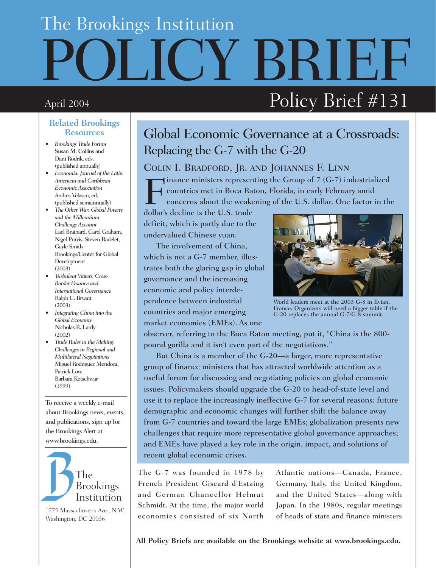# KIH.F The Brookings Institution April 2004 Policy Brief #131

#### **Related Brookings Resources**

- *Brookings Trade Forum* Susan M. Collins and Dani Rodrik, eds. (published annually)
- *Economia: Journal of the Latin American and Caribbean Economic Association* Andres Velasco, ed. (published semiannually)
- *The Other War: Global Poverty and the Millennium Challenge Account*  Lael Brainard, Carol Graham, Nigel Purvis, Steven Radelet, Gayle Smith Brookings/Center for Global Development (2003)
- *Turbulent Waters: Cross-Border Finance and International Governance*  Ralph C. Bryant (2003)
- *Integrating China into the Global Economy* Nicholas R. Lardy (2002)
- *Trade Rules in the Making: Challenges in Regional and Multilateral Negotiations* Miguel Rodriguez Mendoza, Patrick Low, Barbara Kotschwar (1999)

To receive a weekly e-mail about Brookings news, events, and publications, sign up for the Brookings Alert at www.brookings.edu.



1775 Massachusetts Ave., N.W. Washington, DC 20036

# Global Economic Governance at a Crossroads: Replacing the G-7 with the G-20

# COLIN I. BRADFORD, JR. AND JOHANNES F. LINN

Finance ministers representing the Group of 7 (G-7) industrialized<br>countries met in Boca Raton, Florida, in early February amid<br>concerns about the weakening of the U.S. dollar. One factor in th<br>dollar's decline is the U.S. countries met in Boca Raton, Florida, in early February amid concerns about the weakening of the U.S. dollar. One factor in the

dollar's decline is the U.S. trade deficit, which is partly due to the undervalued Chinese yuan.

The involvement of China, which is not a G-7 member, illustrates both the glaring gap in global governance and the increasing economic and policy interdependence between industrial countries and major emerging market economies (EMEs). As one

observer, referring to the Boca Raton meeting, put it, "China is the 800 pound gorilla and it isn't even part of the negotiations."

But China is a member of the G-20—a larger, more representative group of finance ministers that has attracted worldwide attention as a useful forum for discussing and negotiating policies on global economic issues. Policymakers should upgrade the G-20 to head-of-state level and use it to replace the increasingly ineffective G-7 for several reasons: future demographic and economic changes will further shift the balance away from G-7 countries and toward the large EMEs; globalization presents new challenges that require more representative global governance approaches; and EMEs have played a key role in the origin, impact, and solutions of recent global economic crises.

The G-7 was founded in 1978 by French President Giscard d'Estaing and German Chancellor Helmut Schmidt. At the time, the major world economies consisted of six North

Atlantic nations—Canada, France, Germany, Italy, the United Kingdom, and the United States—along with Japan. In the 1980s, regular meetings of heads of state and finance ministers

**All Policy Briefs are available on the Brookings website at www.brookings.edu.** 



World leaders meet at the 2003 G-8 in Evian, France. Organizers will need a bigger table if the G-20 replaces the annual G-7/G-8 summit.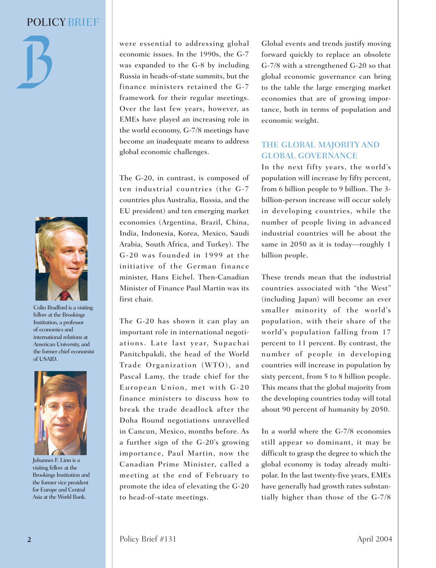

Colin Bradford is a visiting fellow at the Brookings Institution, a professor of economics and international relations at American University, and the former chief economist of USAID.



Johannes F. Linn is a visiting fellow at the Brookings Institution and the former vice president for Europe and Central Asia at the World Bank.

were essential to addressing global economic issues. In the 1990s, the G-7 was expanded to the G-8 by including Russia in heads-of-state summits, but the finance ministers retained the G-7 framework for their regular meetings. Over the last few years, however, as EMEs have played an increasing role in the world economy, G-7/8 meetings have become an inadequate means to address global economic challenges.

The G-20, in contrast, is composed of ten industrial countries (the G-7 countries plus Australia, Russia, and the EU president) and ten emerging market economies (Argentina, Brazil, China, India, Indonesia, Korea, Mexico, Saudi Arabia, South Africa, and Turkey). The G-20 was founded in 1999 at the initiative of the German finance minister, Hans Eichel. Then-Canadian Minister of Finance Paul Martin was its first chair.

The G-20 has shown it can play an important role in international negotiations. Late last year, Supachai Panitchpakdi, the head of the World Trade Organization (WTO), and Pascal Lamy, the trade chief for the European Union, met with G-20 finance ministers to discuss how to break the trade deadlock after the Doha Round negotiations unravelled in Cancun, Mexico, months before. As a further sign of the G-20's growing importance, Paul Martin, now the Canadian Prime Minister, called a meeting at the end of February to promote the idea of elevating the G-20 to head-of-state meetings.

Global events and trends justify moving forward quickly to replace an obsolete G-7/8 with a strengthened G-20 so that global economic governance can bring to the table the large emerging market economies that are of growing importance, both in terms of population and economic weight.

#### THE GLOBAL MAJORITY AND GLOBAL GOVERNANCE

In the next fifty years, the world's population will increase by fifty percent, from 6 billion people to 9 billion. The 3 billion-person increase will occur solely in developing countries, while the number of people living in advanced industrial countries will be about the same in 2050 as it is today—roughly 1 billion people.

These trends mean that the industrial countries associated with "the West" (including Japan) will become an ever smaller minority of the world's population, with their share of the world's population falling from 17 percent to 11 percent. By contrast, the number of people in developing countries will increase in population by sixty percent, from 5 to 8 billion people. This means that the global majority from the developing countries today will total about 90 percent of humanity by 2050.

In a world where the G-7/8 economies still appear so dominant, it may be difficult to grasp the degree to which the global economy is today already multipolar. In the last twenty-five years, EMEs have generally had growth rates substantially higher than those of the G-7/8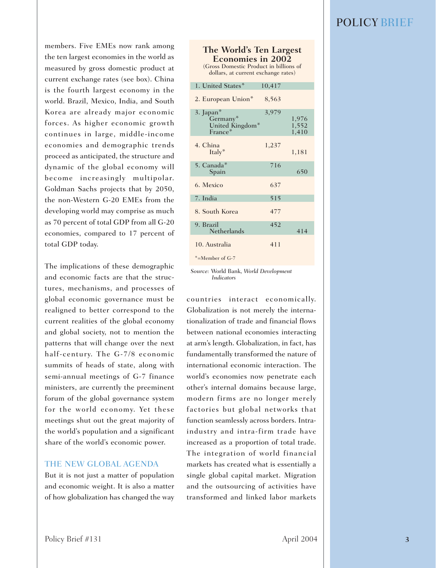members. Five EMEs now rank among the ten largest economies in the world as measured by gross domestic product at current exchange rates (see box). China is the fourth largest economy in the world. Brazil, Mexico, India, and South Korea are already major economic forces. As higher economic growth continues in large, middle-income economies and demographic trends proceed as anticipated, the structure and dynamic of the global economy will become increasingly multipolar. Goldman Sachs projects that by 2050, the non-Western G-20 EMEs from the developing world may comprise as much as 70 percent of total GDP from all G-20 economies, compared to 17 percent of total GDP today.

The implications of these demographic and economic facts are that the structures, mechanisms, and processes of global economic governance must be realigned to better correspond to the current realities of the global economy and global society, not to mention the patterns that will change over the next half-century. The G-7/8 economic summits of heads of state, along with semi-annual meetings of G-7 finance ministers, are currently the preeminent forum of the global governance system for the world economy. Yet these meetings shut out the great majority of the world's population and a significant share of the world's economic power.

#### THE NEW GLOBAL AGENDA

But it is not just a matter of population and economic weight. It is also a matter of how globalization has changed the way

#### **The World's Ten Largest Economies in 2002** (Gross Domestic Product in billions of

dollars, at current exchange rates)

| 10,417                   |                         |
|--------------------------|-------------------------|
| 8,563                    |                         |
| 3,979<br>United Kingdom* | 1,976<br>1,552<br>1,410 |
| 1,237                    | 1,181                   |
| 716                      | 650                     |
| 637                      |                         |
| 515                      |                         |
| 477                      |                         |
| 452                      | 414                     |
| 411                      |                         |
|                          |                         |

*Source:* World Bank, *World Development Indicators* 

countries interact economically. Globalization is not merely the internationalization of trade and financial flows between national economies interacting at arm's length. Globalization, in fact, has fundamentally transformed the nature of international economic interaction. The world's economies now penetrate each other's internal domains because large, modern firms are no longer merely factories but global networks that function seamlessly across borders. Intraindustry and intra-firm trade have increased as a proportion of total trade. The integration of world financial markets has created what is essentially a single global capital market. Migration and the outsourcing of activities have transformed and linked labor markets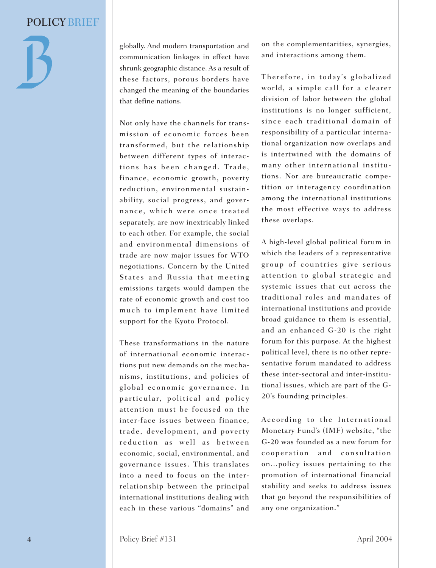globally. And modern transportation and communication linkages in effect have shrunk geographic distance. As a result of these factors, porous borders have changed the meaning of the boundaries that define nations.

Not only have the channels for transmission of economic forces been transformed, but the relationship between different types of interactions has been changed. Trade, finance, economic growth, poverty reduction, environmental sustainability, social progress, and governance, which were once treated separately, are now inextricably linked to each other. For example, the social and environmental dimensions of trade are now major issues for WTO negotiations. Concern by the United States and Russia that meeting emissions targets would dampen the rate of economic growth and cost too much to implement have limited support for the Kyoto Protocol.

These transformations in the nature of international economic interactions put new demands on the mechanisms, institutions, and policies of global economic governance. In particular, political and policy attention must be focused on the inter-face issues between finance, trade, development, and poverty reduction as well as between economic, social, environmental, and governance issues. This translates into a need to focus on the interrelationship between the principal international institutions dealing with each in these various "domains" and on the complementarities, synergies, and interactions among them.

Therefore, in today's globalized world, a simple call for a clearer division of labor between the global institutions is no longer sufficient, since each traditional domain of responsibility of a particular international organization now overlaps and is intertwined with the domains of many other international institutions. Nor are bureaucratic competition or interagency coordination among the international institutions the most effective ways to address these overlaps.

A high-level global political forum in which the leaders of a representative group of countries give serious attention to global strategic and systemic issues that cut across the traditional roles and mandates of international institutions and provide broad guidance to them is essential, and an enhanced G-20 is the right forum for this purpose. At the highest political level, there is no other representative forum mandated to address these inter-sectoral and inter-institutional issues, which are part of the G-20's founding principles.

According to the International Monetary Fund's (IMF) website, "the G-20 was founded as a new forum for cooperation and consultation on…policy issues pertaining to the promotion of international financial stability and seeks to address issues that go beyond the responsibilities of any one organization."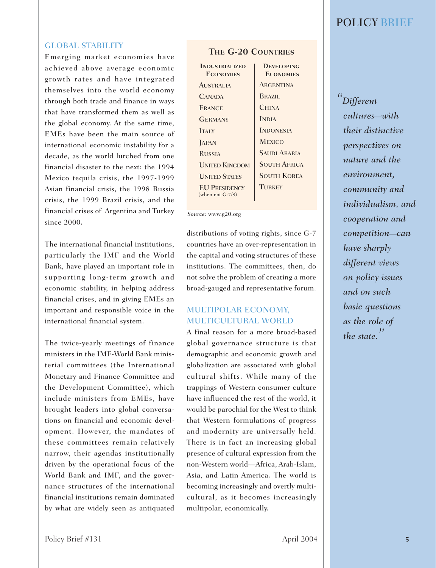#### GLOBAL STABILITY

Emerging market economies have achieved above average economic growth rates and have integrated themselves into the world economy through both trade and finance in ways that have transformed them as well as the global economy. At the same time, EMEs have been the main source of international economic instability for a decade, as the world lurched from one financial disaster to the next: the 1994 Mexico tequila crisis, the 1997-1999 Asian financial crisis, the 1998 Russia crisis, the 1999 Brazil crisis, and the financial crises of Argentina and Turkey since 2000.

The international financial institutions, particularly the IMF and the World Bank, have played an important role in supporting long-term growth and economic stability, in helping address financial crises, and in giving EMEs an important and responsible voice in the international financial system.

The twice-yearly meetings of finance ministers in the IMF-World Bank ministerial committees (the International Monetary and Finance Committee and the Development Committee), which include ministers from EMEs, have brought leaders into global conversations on financial and economic development. However, the mandates of these committees remain relatively narrow, their agendas institutionally driven by the operational focus of the World Bank and IMF, and the governance structures of the international financial institutions remain dominated by what are widely seen as antiquated

#### **THE G-20 COUNTRIES**

| <b>INDUSTRIALIZED</b>                       | <b>DEVELOPING</b>   |
|---------------------------------------------|---------------------|
| <b>ECONOMIES</b>                            | <b>ECONOMIES</b>    |
| <b>AUSTRALIA</b>                            | <b>ARGENTINA</b>    |
| <b>CANADA</b>                               | <b>BRAZIL</b>       |
| <b>FRANCE</b>                               | <b>CHINA</b>        |
| <b>GERMANY</b>                              | <b>INDIA</b>        |
| <b>TALY</b>                                 | <b>INDONESIA</b>    |
| <b>JAPAN</b>                                | <b>MEXICO</b>       |
| <b>RUSSIA</b>                               | <b>SAUDI ARABIA</b> |
| <b>UNITED KINGDOM</b>                       | <b>SOUTH AFRICA</b> |
| <b>UNITED STATES</b>                        | <b>SOUTH KOREA</b>  |
| <b>EU PRESIDENCY</b><br>(when not $G-7/8$ ) | <b>TURKEY</b>       |

*Source:* www.g20.org

distributions of voting rights, since G-7 countries have an over-representation in the capital and voting structures of these institutions. The committees, then, do not solve the problem of creating a more broad-gauged and representative forum.

#### MULTIPOLAR ECONOMY, MULTICULTURAL WORLD

A final reason for a more broad-based global governance structure is that demographic and economic growth and globalization are associated with global cultural shifts. While many of the trappings of Western consumer culture have influenced the rest of the world, it would be parochial for the West to think that Western formulations of progress and modernity are universally held. There is in fact an increasing global presence of cultural expression from the non-Western world—Africa, Arab-Islam, Asia, and Latin America. The world is becoming increasingly and overtly multicultural, as it becomes increasingly multipolar, economically.

#### POLICY BRIEF

*" Different cultures*—*with their distinctive perspectives on nature and the environment, community and individualism, and cooperation and competition*—*can have sharply different views on policy issues and on such basic questions as the role of the state.''*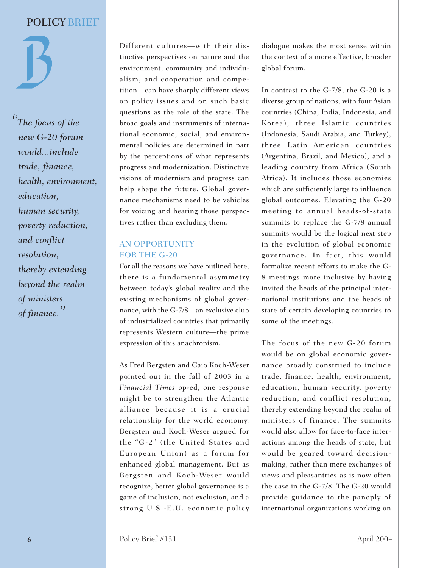*"The focus of the new G-20 forum would...include trade, finance, health, environment, education, human security, poverty reduction, and conflict resolution, thereby extending beyond the realm of ministers of finance.''*

Different cultures—with their distinctive perspectives on nature and the environment, community and individualism, and cooperation and competition—can have sharply different views on policy issues and on such basic questions as the role of the state. The broad goals and instruments of international economic, social, and environmental policies are determined in part by the perceptions of what represents progress and modernization. Distinctive visions of modernism and progress can help shape the future. Global governance mechanisms need to be vehicles for voicing and hearing those perspectives rather than excluding them.

#### AN OPPORTUNITY FOR THE G-20

For all the reasons we have outlined here, there is a fundamental asymmetry between today's global reality and the existing mechanisms of global governance, with the G-7/8—an exclusive club of industrialized countries that primarily represents Western culture—the prime expression of this anachronism.

As Fred Bergsten and Caio Koch-Weser pointed out in the fall of 2003 in a *Financial Times* op-ed, one response might be to strengthen the Atlantic alliance because it is a crucial relationship for the world economy. Bergsten and Koch-Weser argued for the "G-2" (the United States and European Union) as a forum for enhanced global management. But as Bergsten and Koch-Weser would recognize, better global governance is a game of inclusion, not exclusion, and a strong U.S.-E.U. economic policy dialogue makes the most sense within the context of a more effective, broader global forum.

In contrast to the G-7/8, the G-20 is a diverse group of nations, with four Asian countries (China, India, Indonesia, and Korea), three Islamic countries (Indonesia, Saudi Arabia, and Turkey), three Latin American countries (Argentina, Brazil, and Mexico), and a leading country from Africa (South Africa). It includes those economies which are sufficiently large to influence global outcomes. Elevating the G-20 meeting to annual heads-of-state summits to replace the G-7/8 annual summits would be the logical next step in the evolution of global economic governance. In fact, this would formalize recent efforts to make the G-8 meetings more inclusive by having invited the heads of the principal international institutions and the heads of state of certain developing countries to some of the meetings.

The focus of the new G-20 forum would be on global economic governance broadly construed to include trade, finance, health, environment, education, human security, poverty reduction, and conflict resolution, thereby extending beyond the realm of ministers of finance. The summits would also allow for face-to-face interactions among the heads of state, but would be geared toward decisionmaking, rather than mere exchanges of views and pleasantries as is now often the case in the G-7/8. The G-20 would provide guidance to the panoply of international organizations working on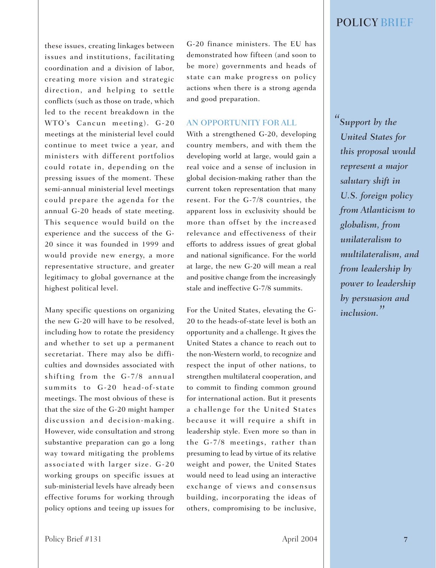these issues, creating linkages between issues and institutions, facilitating coordination and a division of labor, creating more vision and strategic direction, and helping to settle conflicts (such as those on trade, which led to the recent breakdown in the WTO's Cancun meeting). G-20 meetings at the ministerial level could continue to meet twice a year, and ministers with different portfolios could rotate in, depending on the pressing issues of the moment. These semi-annual ministerial level meetings could prepare the agenda for the annual G-20 heads of state meeting. This sequence would build on the experience and the success of the G-20 since it was founded in 1999 and would provide new energy, a more representative structure, and greater legitimacy to global governance at the highest political level.

Many specific questions on organizing the new G-20 will have to be resolved, including how to rotate the presidency and whether to set up a permanent secretariat. There may also be difficulties and downsides associated with shifting from the G-7/8 annual summits to G-20 head-of-state meetings. The most obvious of these is that the size of the G-20 might hamper discussion and decision-making. However, wide consultation and strong substantive preparation can go a long way toward mitigating the problems associated with larger size. G-20 working groups on specific issues at sub-ministerial levels have already been effective forums for working through policy options and teeing up issues for

G-20 finance ministers. The EU has demonstrated how fifteen (and soon to be more) governments and heads of state can make progress on policy actions when there is a strong agenda and good preparation.

#### AN OPPORTUNITY FOR ALL

With a strengthened G-20, developing country members, and with them the developing world at large, would gain a real voice and a sense of inclusion in global decision-making rather than the current token representation that many resent. For the G-7/8 countries, the apparent loss in exclusivity should be more than offset by the increased relevance and effectiveness of their efforts to address issues of great global and national significance. For the world at large, the new G-20 will mean a real and positive change from the increasingly stale and ineffective G-7/8 summits.

For the United States, elevating the G-20 to the heads-of-state level is both an opportunity and a challenge. It gives the United States a chance to reach out to the non-Western world, to recognize and respect the input of other nations, to strengthen multilateral cooperation, and to commit to finding common ground for international action. But it presents a challenge for the United States because it will require a shift in leadership style. Even more so than in the G-7/8 meetings, rather than presuming to lead by virtue of its relative weight and power, the United States would need to lead using an interactive exchange of views and consensus building, incorporating the ideas of others, compromising to be inclusive,

### POLICY BRIEF

*"Support by the United States for this proposal would represent a major salutary shift in U.S. foreign policy from Atlanticism to globalism, from unilateralism to multilateralism, and from leadership by power to leadership by persuasion and inclusion.''*